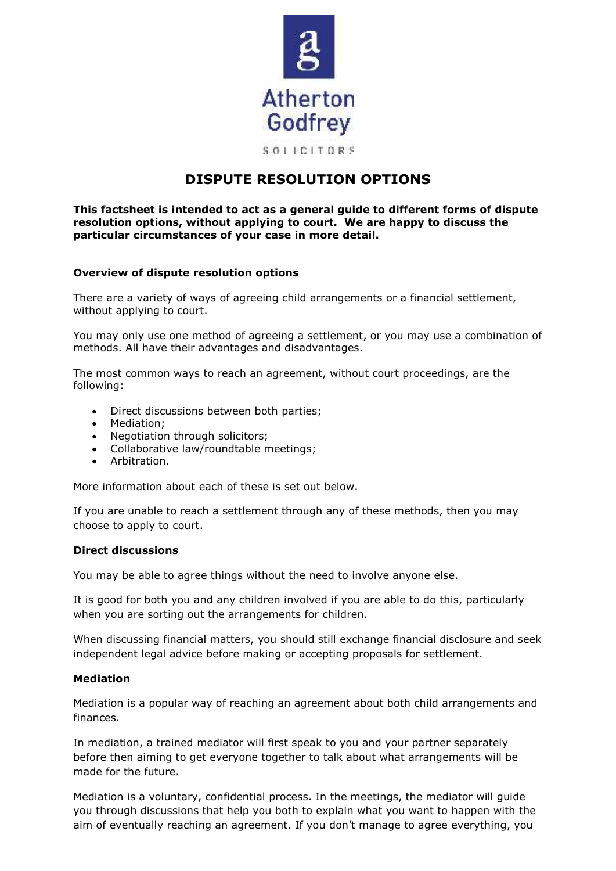

# **DISPUTE RESOLUTION OPTIONS**

**This factsheet is intended to act as a general guide to different forms of dispute resolution options, without applying to court. We are happy to discuss the particular circumstances of your case in more detail.** 

## **Overview of dispute resolution options**

There are a variety of ways of agreeing child arrangements or a financial settlement, without applying to court.

You may only use one method of agreeing a settlement, or you may use a combination of methods. All have their advantages and disadvantages.

The most common ways to reach an agreement, without court proceedings, are the following:

- Direct discussions between both parties;
- Mediation;
- Negotiation through solicitors;
- Collaborative law/roundtable meetings;
- Arbitration.

More information about each of these is set out below.

If you are unable to reach a settlement through any of these methods, then you may choose to apply to court.

### **Direct discussions**

You may be able to agree things without the need to involve anyone else.

It is good for both you and any children involved if you are able to do this, particularly when you are sorting out the arrangements for children.

When discussing financial matters, you should still exchange financial disclosure and seek independent legal advice before making or accepting proposals for settlement.

### **Mediation**

Mediation is a popular way of reaching an agreement about both child arrangements and finances.

In mediation, a trained mediator will first speak to you and your partner separately before then aiming to get everyone together to talk about what arrangements will be made for the future.

Mediation is a voluntary, confidential process. In the meetings, the mediator will guide you through discussions that help you both to explain what you want to happen with the aim of eventually reaching an agreement. If you don't manage to agree everything, you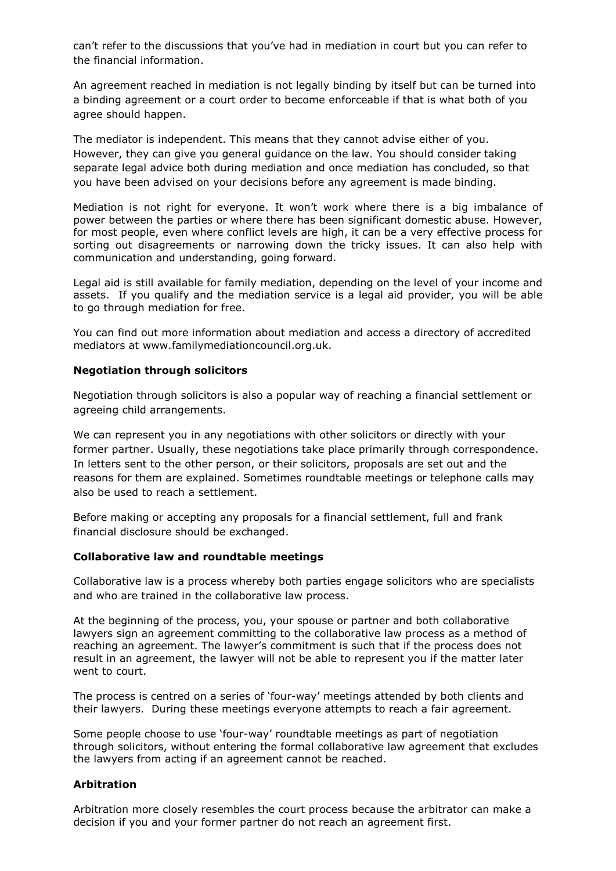can't refer to the discussions that you've had in mediation in court but you can refer to the financial information.

An agreement reached in mediation is not legally binding by itself but can be turned into a binding agreement or a court order to become enforceable if that is what both of you agree should happen.

The mediator is independent. This means that they cannot advise either of you. However, they can give you general guidance on the law. You should consider taking separate legal advice both during mediation and once mediation has concluded, so that you have been advised on your decisions before any agreement is made binding.

Mediation is not right for everyone. It won't work where there is a big imbalance of power between the parties or where there has been significant domestic abuse. However, for most people, even where conflict levels are high, it can be a very effective process for sorting out disagreements or narrowing down the tricky issues. It can also help with communication and understanding, going forward.

Legal aid is still available for family mediation, depending on the level of your income and assets. If you qualify and the mediation service is a legal aid provider, you will be able to go through mediation for free.

You can find out more information about mediation and access a directory of accredited mediators at www.familymediationcouncil.org.uk.

# **Negotiation through solicitors**

Negotiation through solicitors is also a popular way of reaching a financial settlement or agreeing child arrangements.

We can represent you in any negotiations with other solicitors or directly with your former partner. Usually, these negotiations take place primarily through correspondence. In letters sent to the other person, or their solicitors, proposals are set out and the reasons for them are explained. Sometimes roundtable meetings or telephone calls may also be used to reach a settlement.

Before making or accepting any proposals for a financial settlement, full and frank financial disclosure should be exchanged.

### **Collaborative law and roundtable meetings**

Collaborative law is a process whereby both parties engage solicitors who are specialists and who are trained in the collaborative law process.

At the beginning of the process, you, your spouse or partner and both collaborative lawyers sign an agreement committing to the collaborative law process as a method of reaching an agreement. The lawyer's commitment is such that if the process does not result in an agreement, the lawyer will not be able to represent you if the matter later went to court.

The process is centred on a series of 'four-way' meetings attended by both clients and their lawyers. During these meetings everyone attempts to reach a fair agreement.

Some people choose to use 'four-way' roundtable meetings as part of negotiation through solicitors, without entering the formal collaborative law agreement that excludes the lawyers from acting if an agreement cannot be reached.

# **Arbitration**

Arbitration more closely resembles the court process because the arbitrator can make a decision if you and your former partner do not reach an agreement first.